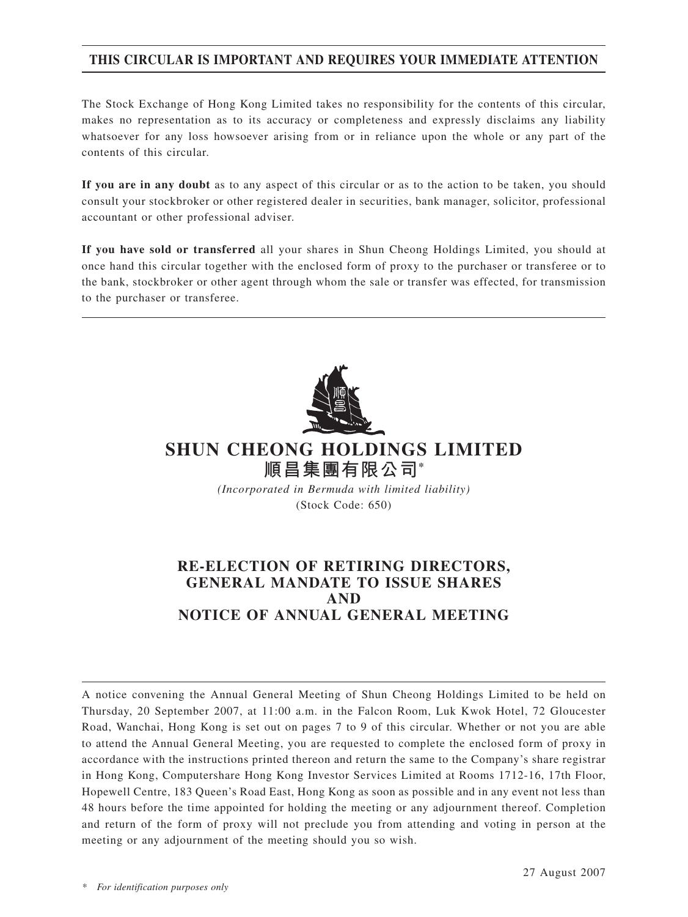## **THis CIRCULAR IS IMPORTANT AND REQUIRES YOUR IMMEDIATE ATTENTION**

The Stock Exchange of Hong Kong Limited takes no responsibility for the contents of this circular, makes no representation as to its accuracy or completeness and expressly disclaims any liability whatsoever for any loss howsoever arising from or in reliance upon the whole or any part of the contents of this circular.

**If you are in any doubt** as to any aspect of this circular or as to the action to be taken, you should consult your stockbroker or other registered dealer in securities, bank manager, solicitor, professional accountant or other professional adviser.

**If you have sold or transferred** all your shares in Shun Cheong Holdings Limited, you should at once hand this circular together with the enclosed form of proxy to the purchaser or transferee or to the bank, stockbroker or other agent through whom the sale or transfer was effected, for transmission to the purchaser or transferee.



# **SHUN CHEONG HOLDINGS LIMITED 順昌集團有限公司\***

*(Incorporated in Bermuda with limited liability)* (Stock Code: 650)

# **RE-ELECTION OF RETIRING DIRECTORS, GENERAL MANDATE TO ISSUE SHARES AND NOTICE OF ANNUAL GENERAL MEETING**

A notice convening the Annual General Meeting of Shun Cheong Holdings Limited to be held on Thursday, 20 September 2007, at 11:00 a.m. in the Falcon Room, Luk Kwok Hotel, 72 Gloucester Road, Wanchai, Hong Kong is set out on pages 7 to 9 of this circular. Whether or not you are able to attend the Annual General Meeting, you are requested to complete the enclosed form of proxy in accordance with the instructions printed thereon and return the same to the Company's share registrar in Hong Kong, Computershare Hong Kong Investor Services Limited at Rooms 1712-16, 17th Floor, Hopewell Centre, 183 Queen's Road East, Hong Kong as soon as possible and in any event not less than 48 hours before the time appointed for holding the meeting or any adjournment thereof. Completion and return of the form of proxy will not preclude you from attending and voting in person at the meeting or any adjournment of the meeting should you so wish.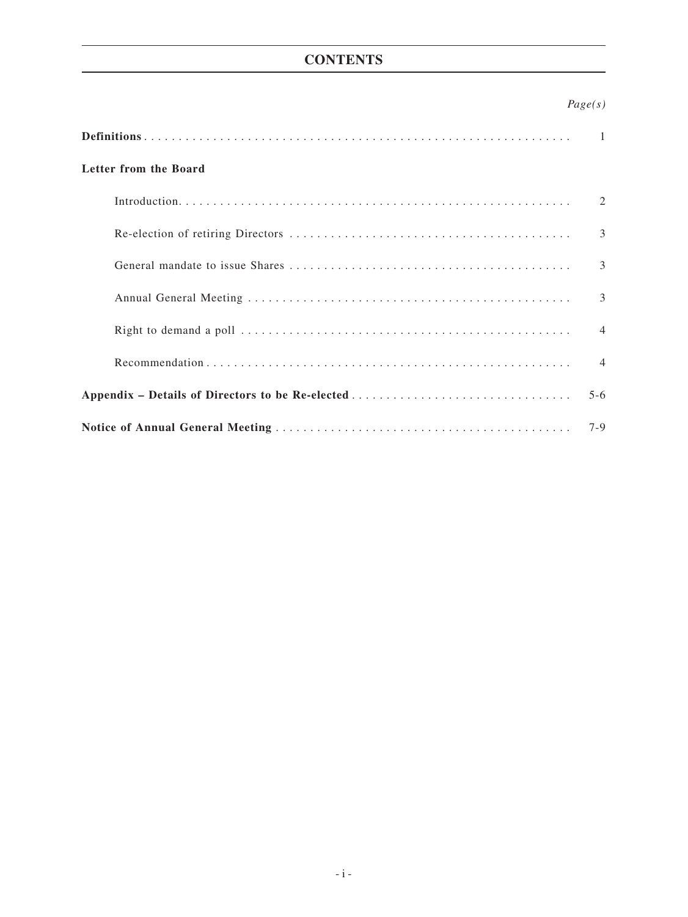# **CONTENTS**

|                                                  | Page(s)        |
|--------------------------------------------------|----------------|
|                                                  |                |
| Letter from the Board                            |                |
|                                                  | 2              |
|                                                  | $\mathcal{E}$  |
|                                                  | 3              |
|                                                  | 3              |
|                                                  | $\overline{4}$ |
|                                                  | $\overline{4}$ |
| Appendix - Details of Directors to be Re-elected | $5 - 6$        |
|                                                  | $7 - 9$        |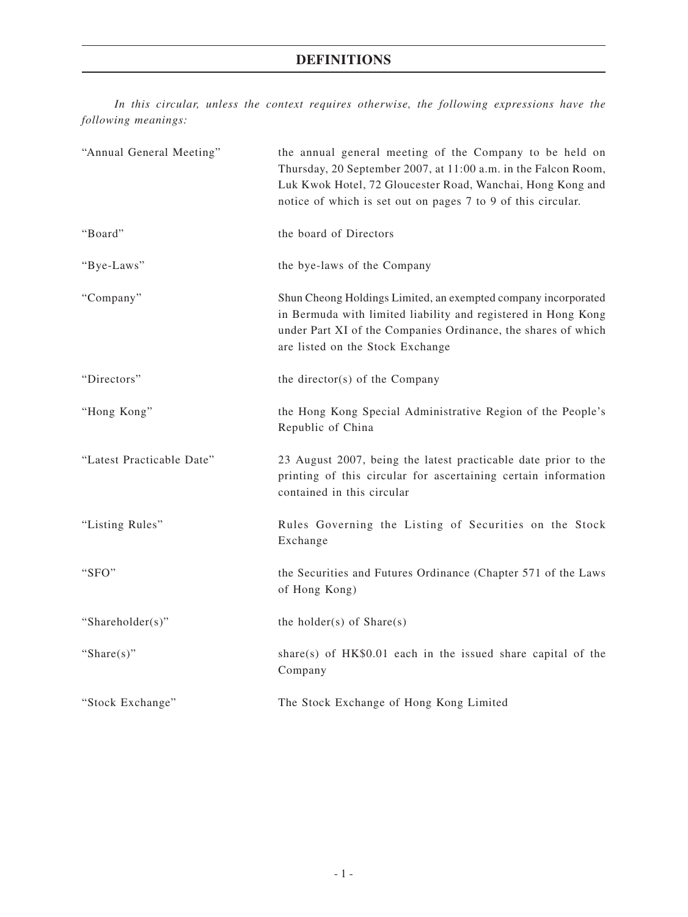## **Definitions**

*In this circular, unless the context requires otherwise, the following expressions have the following meanings:*

| "Annual General Meeting"  | the annual general meeting of the Company to be held on<br>Thursday, 20 September 2007, at 11:00 a.m. in the Falcon Room,<br>Luk Kwok Hotel, 72 Gloucester Road, Wanchai, Hong Kong and<br>notice of which is set out on pages 7 to 9 of this circular. |
|---------------------------|---------------------------------------------------------------------------------------------------------------------------------------------------------------------------------------------------------------------------------------------------------|
| "Board"                   | the board of Directors                                                                                                                                                                                                                                  |
| "Bye-Laws"                | the bye-laws of the Company                                                                                                                                                                                                                             |
| "Company"                 | Shun Cheong Holdings Limited, an exempted company incorporated<br>in Bermuda with limited liability and registered in Hong Kong<br>under Part XI of the Companies Ordinance, the shares of which<br>are listed on the Stock Exchange                    |
| "Directors"               | the director(s) of the Company                                                                                                                                                                                                                          |
| "Hong Kong"               | the Hong Kong Special Administrative Region of the People's<br>Republic of China                                                                                                                                                                        |
| "Latest Practicable Date" | 23 August 2007, being the latest practicable date prior to the<br>printing of this circular for ascertaining certain information<br>contained in this circular                                                                                          |
| "Listing Rules"           | Rules Governing the Listing of Securities on the Stock<br>Exchange                                                                                                                                                                                      |
| "SFO"                     | the Securities and Futures Ordinance (Chapter 571 of the Laws<br>of Hong Kong)                                                                                                                                                                          |
| "Shareholder(s)"          | the holder(s) of $Share(s)$                                                                                                                                                                                                                             |
| "Share $(s)$ "            | share(s) of $HK$0.01$ each in the issued share capital of the<br>Company                                                                                                                                                                                |
| "Stock Exchange"          | The Stock Exchange of Hong Kong Limited                                                                                                                                                                                                                 |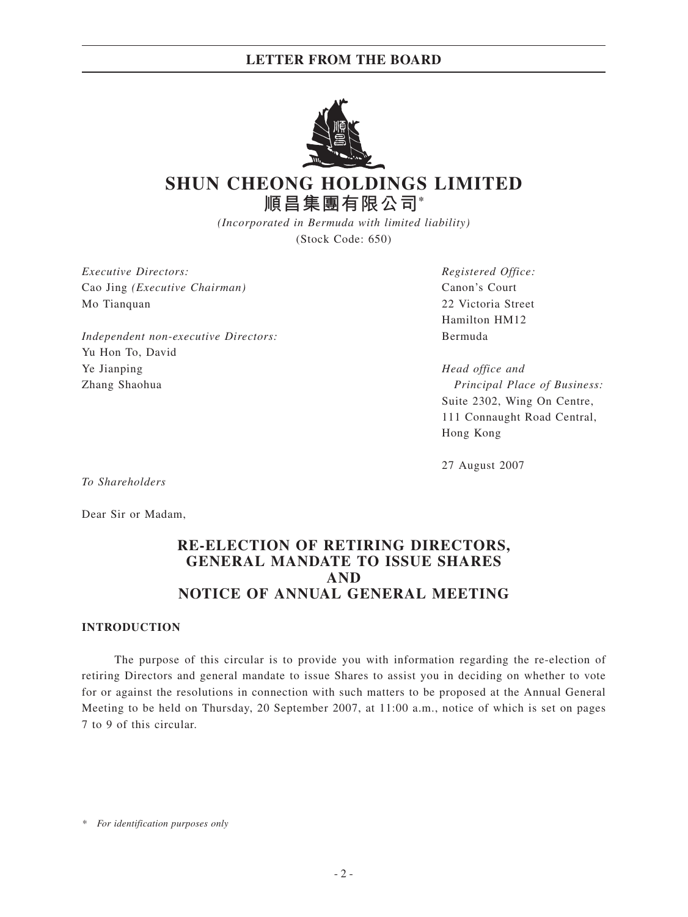## **LETTER FROM THE BOARD**



# **SHUN CHEONG HOLDINGS LIMITED 順昌集團有限公司\***

*(Incorporated in Bermuda with limited liability)* (Stock Code: 650)

*Executive Directors: Registered Office:* Cao Jing *(Executive Chairman)* Canon's Court Mo Tianquan 22 Victoria Street

*Independent non-executive Directors:* Bermuda Yu Hon To, David Ye Jianping *Head office and* Zhang Shaohua *Principal Place of Business:*

Hamilton HM12

Suite 2302, Wing On Centre, 111 Connaught Road Central, Hong Kong

27 August 2007

*To Shareholders*

Dear Sir or Madam,

## **RE-ELECTION OF RETIRING DIRECTORS, GENERAL MANDATE TO ISSUE SHARES AND NOTICE OF ANNUAL GENERAL MEETING**

### **INTRODUCTION**

The purpose of this circular is to provide you with information regarding the re-election of retiring Directors and general mandate to issue Shares to assist you in deciding on whether to vote for or against the resolutions in connection with such matters to be proposed at the Annual General Meeting to be held on Thursday, 20 September 2007, at 11:00 a.m., notice of which is set on pages 7 to 9 of this circular.

*<sup>\*</sup> For identification purposes only*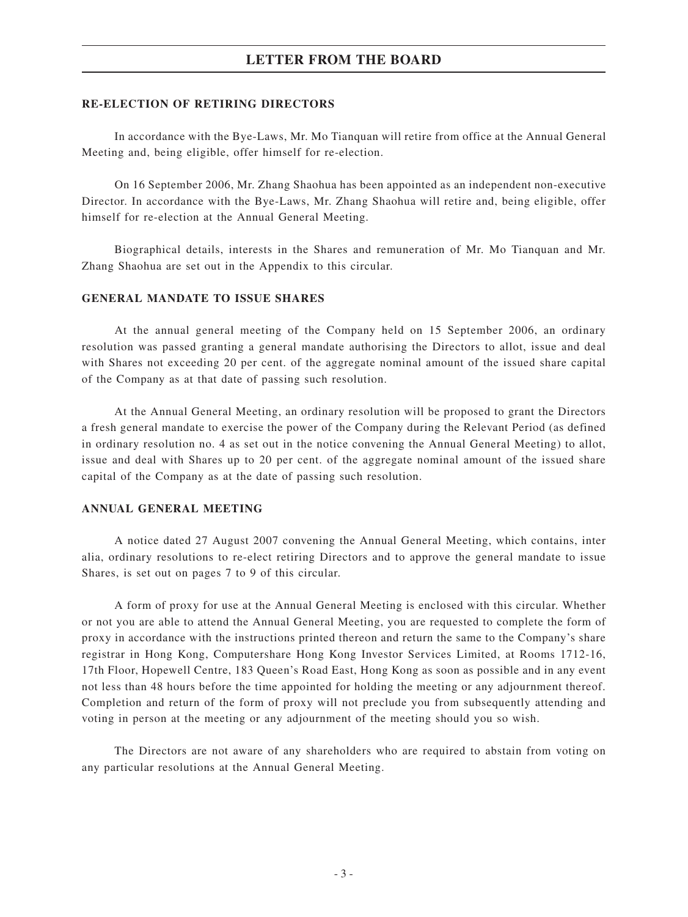## **LETTER FROM THE BOARD**

#### **RE-ELECTION OF RETIRING DIRECTORS**

In accordance with the Bye-Laws, Mr. Mo Tianquan will retire from office at the Annual General Meeting and, being eligible, offer himself for re-election.

On 16 September 2006, Mr. Zhang Shaohua has been appointed as an independent non-executive Director. In accordance with the Bye-Laws, Mr. Zhang Shaohua will retire and, being eligible, offer himself for re-election at the Annual General Meeting.

Biographical details, interests in the Shares and remuneration of Mr. Mo Tianquan and Mr. Zhang Shaohua are set out in the Appendix to this circular.

#### **GENERAL MANDATE TO ISSUE SHARES**

At the annual general meeting of the Company held on 15 September 2006, an ordinary resolution was passed granting a general mandate authorising the Directors to allot, issue and deal with Shares not exceeding 20 per cent. of the aggregate nominal amount of the issued share capital of the Company as at that date of passing such resolution.

At the Annual General Meeting, an ordinary resolution will be proposed to grant the Directors a fresh general mandate to exercise the power of the Company during the Relevant Period (as defined in ordinary resolution no. 4 as set out in the notice convening the Annual General Meeting) to allot, issue and deal with Shares up to 20 per cent. of the aggregate nominal amount of the issued share capital of the Company as at the date of passing such resolution.

### **ANNUAL GENERAL MEETING**

A notice dated 27 August 2007 convening the Annual General Meeting, which contains, inter alia, ordinary resolutions to re-elect retiring Directors and to approve the general mandate to issue Shares, is set out on pages 7 to 9 of this circular.

A form of proxy for use at the Annual General Meeting is enclosed with this circular. Whether or not you are able to attend the Annual General Meeting, you are requested to complete the form of proxy in accordance with the instructions printed thereon and return the same to the Company's share registrar in Hong Kong, Computershare Hong Kong Investor Services Limited, at Rooms 1712-16, 17th Floor, Hopewell Centre, 183 Queen's Road East, Hong Kong as soon as possible and in any event not less than 48 hours before the time appointed for holding the meeting or any adjournment thereof. Completion and return of the form of proxy will not preclude you from subsequently attending and voting in person at the meeting or any adjournment of the meeting should you so wish.

The Directors are not aware of any shareholders who are required to abstain from voting on any particular resolutions at the Annual General Meeting.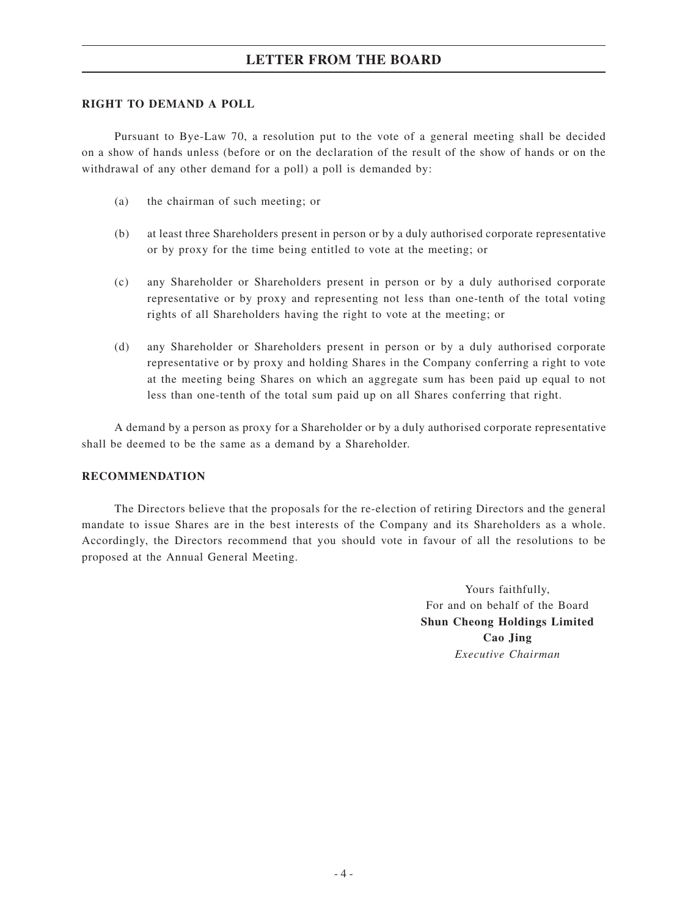## **LETTER FROM THE BOARD**

### **RIGHT TO DEMAND A POLL**

Pursuant to Bye-Law 70, a resolution put to the vote of a general meeting shall be decided on a show of hands unless (before or on the declaration of the result of the show of hands or on the withdrawal of any other demand for a poll) a poll is demanded by:

- (a) the chairman of such meeting; or
- (b) at least three Shareholders present in person or by a duly authorised corporate representative or by proxy for the time being entitled to vote at the meeting; or
- (c) any Shareholder or Shareholders present in person or by a duly authorised corporate representative or by proxy and representing not less than one-tenth of the total voting rights of all Shareholders having the right to vote at the meeting; or
- (d) any Shareholder or Shareholders present in person or by a duly authorised corporate representative or by proxy and holding Shares in the Company conferring a right to vote at the meeting being Shares on which an aggregate sum has been paid up equal to not less than one-tenth of the total sum paid up on all Shares conferring that right.

A demand by a person as proxy for a Shareholder or by a duly authorised corporate representative shall be deemed to be the same as a demand by a Shareholder.

## **RECOMMENDATION**

The Directors believe that the proposals for the re-election of retiring Directors and the general mandate to issue Shares are in the best interests of the Company and its Shareholders as a whole. Accordingly, the Directors recommend that you should vote in favour of all the resolutions to be proposed at the Annual General Meeting.

> Yours faithfully, For and on behalf of the Board **Shun Cheong Holdings Limited Cao Jing** *Executive Chairman*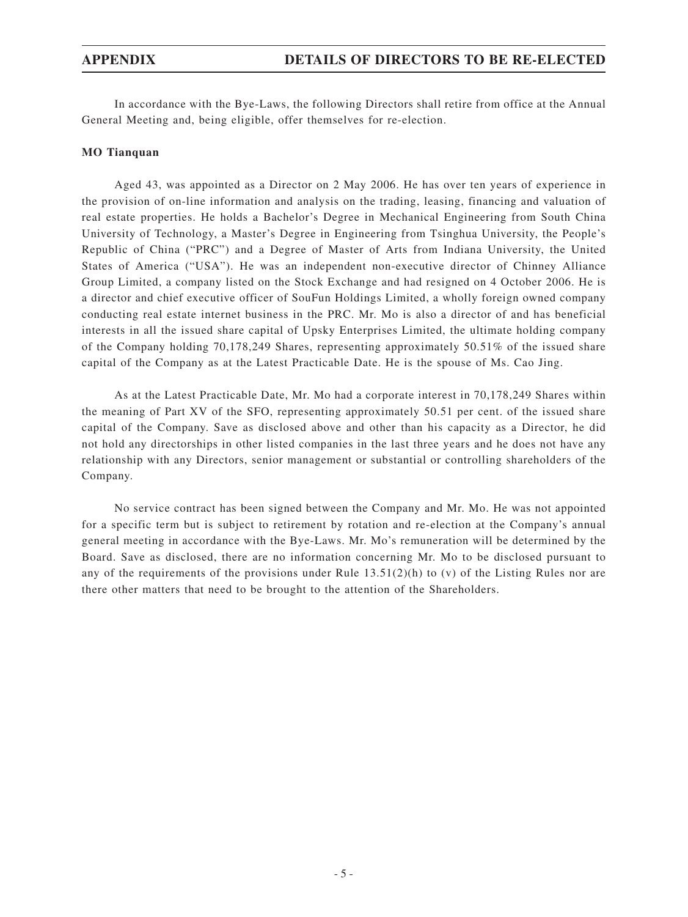In accordance with the Bye-Laws, the following Directors shall retire from office at the Annual General Meeting and, being eligible, offer themselves for re-election.

#### **MO Tianquan**

Aged 43, was appointed as a Director on 2 May 2006. He has over ten years of experience in the provision of on-line information and analysis on the trading, leasing, financing and valuation of real estate properties. He holds a Bachelor's Degree in Mechanical Engineering from South China University of Technology, a Master's Degree in Engineering from Tsinghua University, the People's Republic of China ("PRC") and a Degree of Master of Arts from Indiana University, the United States of America ("USA"). He was an independent non-executive director of Chinney Alliance Group Limited, a company listed on the Stock Exchange and had resigned on 4 October 2006. He is a director and chief executive officer of SouFun Holdings Limited, a wholly foreign owned company conducting real estate internet business in the PRC. Mr. Mo is also a director of and has beneficial interests in all the issued share capital of Upsky Enterprises Limited, the ultimate holding company of the Company holding 70,178,249 Shares, representing approximately 50.51% of the issued share capital of the Company as at the Latest Practicable Date. He is the spouse of Ms. Cao Jing.

As at the Latest Practicable Date, Mr. Mo had a corporate interest in 70,178,249 Shares within the meaning of Part XV of the SFO, representing approximately 50.51 per cent. of the issued share capital of the Company. Save as disclosed above and other than his capacity as a Director, he did not hold any directorships in other listed companies in the last three years and he does not have any relationship with any Directors, senior management or substantial or controlling shareholders of the Company.

No service contract has been signed between the Company and Mr. Mo. He was not appointed for a specific term but is subject to retirement by rotation and re-election at the Company's annual general meeting in accordance with the Bye-Laws. Mr. Mo's remuneration will be determined by the Board. Save as disclosed, there are no information concerning Mr. Mo to be disclosed pursuant to any of the requirements of the provisions under Rule  $13.51(2)(h)$  to (v) of the Listing Rules nor are there other matters that need to be brought to the attention of the Shareholders.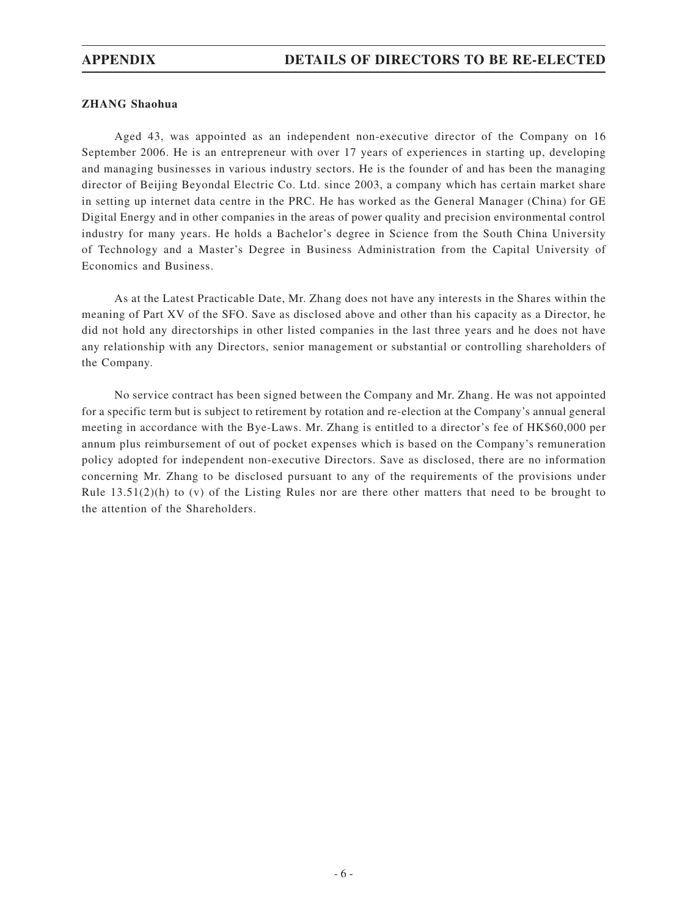## **ZHANG Shaohua**

Aged 43, was appointed as an independent non-executive director of the Company on 16 September 2006. He is an entrepreneur with over 17 years of experiences in starting up, developing and managing businesses in various industry sectors. He is the founder of and has been the managing director of Beijing Beyondal Electric Co. Ltd. since 2003, a company which has certain market share in setting up internet data centre in the PRC. He has worked as the General Manager (China) for GE Digital Energy and in other companies in the areas of power quality and precision environmental control industry for many years. He holds a Bachelor's degree in Science from the South China University of Technology and a Master's Degree in Business Administration from the Capital University of Economics and Business.

As at the Latest Practicable Date, Mr. Zhang does not have any interests in the Shares within the meaning of Part XV of the SFO. Save as disclosed above and other than his capacity as a Director, he did not hold any directorships in other listed companies in the last three years and he does not have any relationship with any Directors, senior management or substantial or controlling shareholders of the Company.

No service contract has been signed between the Company and Mr. Zhang. He was not appointed for a specific term but is subject to retirement by rotation and re-election at the Company's annual general meeting in accordance with the Bye-Laws. Mr. Zhang is entitled to a director's fee of HK\$60,000 per annum plus reimbursement of out of pocket expenses which is based on the Company's remuneration policy adopted for independent non-executive Directors. Save as disclosed, there are no information concerning Mr. Zhang to be disclosed pursuant to any of the requirements of the provisions under Rule  $13.51(2)$ (h) to (y) of the Listing Rules nor are there other matters that need to be brought to the attention of the Shareholders.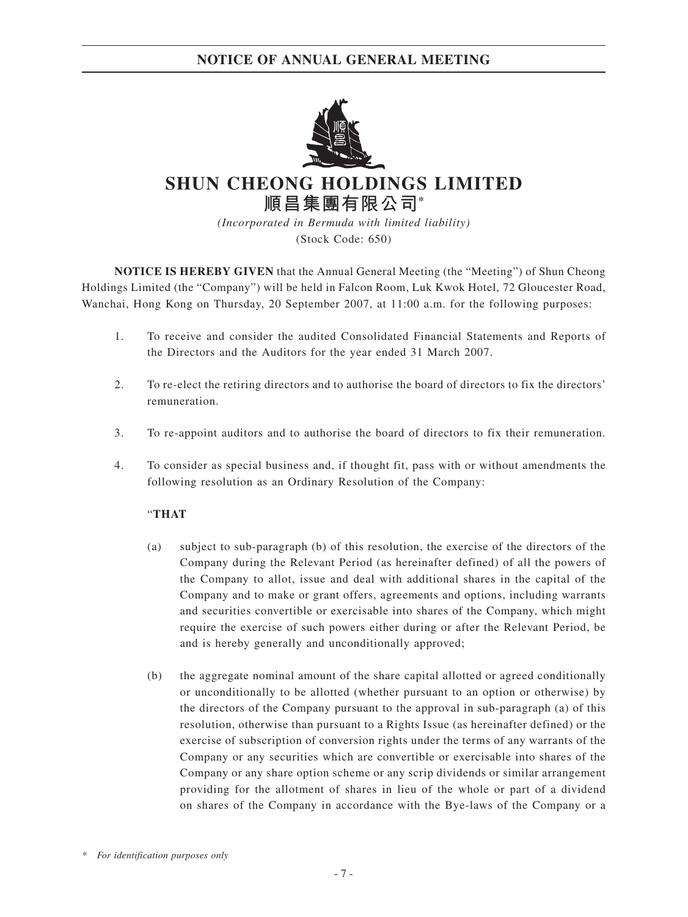

**SHUN CHEONG HOLDINGS LIMITED 順昌集團有限公司\***

> *(Incorporated in Bermuda with limited liability)* (Stock Code: 650)

**NOTICE IS HEREBY GIVEN** that the Annual General Meeting (the "Meeting") of Shun Cheong Holdings Limited (the "Company") will be held in Falcon Room, Luk Kwok Hotel, 72 Gloucester Road, Wanchai, Hong Kong on Thursday, 20 September 2007, at 11:00 a.m. for the following purposes:

- 1. To receive and consider the audited Consolidated Financial Statements and Reports of the Directors and the Auditors for the year ended 31 March 2007.
- 2. To re-elect the retiring directors and to authorise the board of directors to fix the directors' remuneration.
- 3. To re-appoint auditors and to authorise the board of directors to fix their remuneration.
- 4. To consider as special business and, if thought fit, pass with or without amendments the following resolution as an Ordinary Resolution of the Company:

## "**THAT**

- (a) subject to sub-paragraph (b) of this resolution, the exercise of the directors of the Company during the Relevant Period (as hereinafter defined) of all the powers of the Company to allot, issue and deal with additional shares in the capital of the Company and to make or grant offers, agreements and options, including warrants and securities convertible or exercisable into shares of the Company, which might require the exercise of such powers either during or after the Relevant Period, be and is hereby generally and unconditionally approved;
- (b) the aggregate nominal amount of the share capital allotted or agreed conditionally or unconditionally to be allotted (whether pursuant to an option or otherwise) by the directors of the Company pursuant to the approval in sub-paragraph (a) of this resolution, otherwise than pursuant to a Rights Issue (as hereinafter defined) or the exercise of subscription of conversion rights under the terms of any warrants of the Company or any securities which are convertible or exercisable into shares of the Company or any share option scheme or any scrip dividends or similar arrangement providing for the allotment of shares in lieu of the whole or part of a dividend on shares of the Company in accordance with the Bye-laws of the Company or a

*\* For identification purposes only*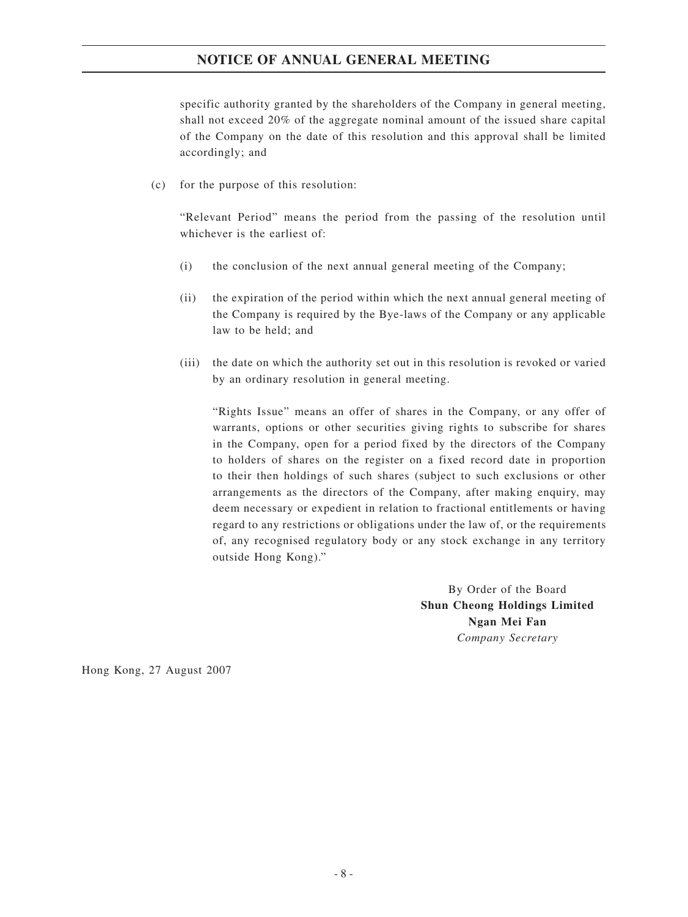## **NOTICE OF ANNUAL GENERAL MEETING**

specific authority granted by the shareholders of the Company in general meeting, shall not exceed 20% of the aggregate nominal amount of the issued share capital of the Company on the date of this resolution and this approval shall be limited accordingly; and

(c) for the purpose of this resolution:

"Relevant Period" means the period from the passing of the resolution until whichever is the earliest of:

- (i) the conclusion of the next annual general meeting of the Company;
- (ii) the expiration of the period within which the next annual general meeting of the Company is required by the Bye-laws of the Company or any applicable law to be held; and
- (iii) the date on which the authority set out in this resolution is revoked or varied by an ordinary resolution in general meeting.

"Rights Issue" means an offer of shares in the Company, or any offer of warrants, options or other securities giving rights to subscribe for shares in the Company, open for a period fixed by the directors of the Company to holders of shares on the register on a fixed record date in proportion to their then holdings of such shares (subject to such exclusions or other arrangements as the directors of the Company, after making enquiry, may deem necessary or expedient in relation to fractional entitlements or having regard to any restrictions or obligations under the law of, or the requirements of, any recognised regulatory body or any stock exchange in any territory outside Hong Kong)."

> By Order of the Board **Shun Cheong Holdings Limited Ngan Mei Fan** *Company Secretary*

Hong Kong, 27 August 2007